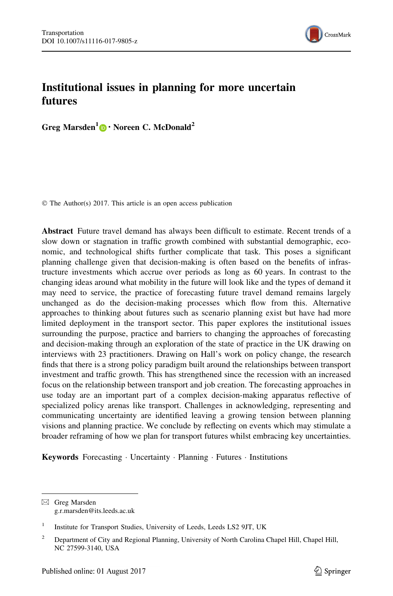

# Institutional issues in planning for more uncertain futures

Greg Marsden<sup>1</sup> • Noreen C. McDonald<sup>2</sup>

© The Author(s) 2017. This article is an open access publication

Abstract Future travel demand has always been difficult to estimate. Recent trends of a slow down or stagnation in traffic growth combined with substantial demographic, economic, and technological shifts further complicate that task. This poses a significant planning challenge given that decision-making is often based on the benefits of infrastructure investments which accrue over periods as long as 60 years. In contrast to the changing ideas around what mobility in the future will look like and the types of demand it may need to service, the practice of forecasting future travel demand remains largely unchanged as do the decision-making processes which flow from this. Alternative approaches to thinking about futures such as scenario planning exist but have had more limited deployment in the transport sector. This paper explores the institutional issues surrounding the purpose, practice and barriers to changing the approaches of forecasting and decision-making through an exploration of the state of practice in the UK drawing on interviews with 23 practitioners. Drawing on Hall's work on policy change, the research finds that there is a strong policy paradigm built around the relationships between transport investment and traffic growth. This has strengthened since the recession with an increased focus on the relationship between transport and job creation. The forecasting approaches in use today are an important part of a complex decision-making apparatus reflective of specialized policy arenas like transport. Challenges in acknowledging, representing and communicating uncertainty are identified leaving a growing tension between planning visions and planning practice. We conclude by reflecting on events which may stimulate a broader reframing of how we plan for transport futures whilst embracing key uncertainties.

Keywords Forecasting · Uncertainty · Planning · Futures · Institutions

 $\boxtimes$  Greg Marsden g.r.marsden@its.leeds.ac.uk

<sup>&</sup>lt;sup>1</sup> Institute for Transport Studies, University of Leeds, Leeds LS2 9JT, UK

<sup>&</sup>lt;sup>2</sup> Department of City and Regional Planning, University of North Carolina Chapel Hill, Chapel Hill, NC 27599-3140, USA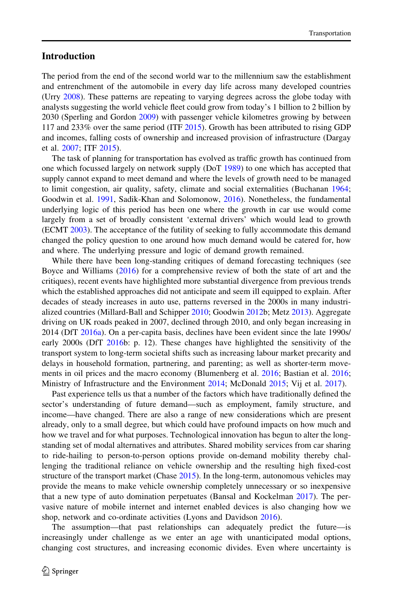# <span id="page-1-0"></span>Introduction

The period from the end of the second world war to the millennium saw the establishment and entrenchment of the automobile in every day life across many developed countries (Urry [2008\)](#page-17-0). These patterns are repeating to varying degrees across the globe today with analysts suggesting the world vehicle fleet could grow from today's 1 billion to 2 billion by 2030 (Sperling and Gordon [2009](#page-17-0)) with passenger vehicle kilometres growing by between 117 and 233% over the same period (ITF [2015\)](#page-16-0). Growth has been attributed to rising GDP and incomes, falling costs of ownership and increased provision of infrastructure (Dargay et al. [2007](#page-15-0); ITF [2015](#page-16-0)).

The task of planning for transportation has evolved as traffic growth has continued from one which focussed largely on network supply (DoT [1989](#page-15-0)) to one which has accepted that supply cannot expand to meet demand and where the levels of growth need to be managed to limit congestion, air quality, safety, climate and social externalities (Buchanan [1964;](#page-15-0) Goodwin et al. [1991](#page-16-0), Sadik-Khan and Solomonow, [2016](#page-17-0)). Nonetheless, the fundamental underlying logic of this period has been one where the growth in car use would come largely from a set of broadly consistent 'external drivers' which would lead to growth (ECMT [2003\)](#page-15-0). The acceptance of the futility of seeking to fully accommodate this demand changed the policy question to one around how much demand would be catered for, how and where. The underlying pressure and logic of demand growth remained.

While there have been long-standing critiques of demand forecasting techniques (see Boyce and Williams [\(2016](#page-15-0)) for a comprehensive review of both the state of art and the critiques), recent events have highlighted more substantial divergence from previous trends which the established approaches did not anticipate and seem ill equipped to explain. After decades of steady increases in auto use, patterns reversed in the 2000s in many industrialized countries (Millard-Ball and Schipper [2010](#page-16-0); Goodwin [2012b](#page-16-0); Metz [2013](#page-16-0)). Aggregate driving on UK roads peaked in 2007, declined through 2010, and only began increasing in 2014 (DfT [2016a](#page-15-0)). On a per-capita basis, declines have been evident since the late 1990s/ early 2000s (DfT [2016](#page-15-0)b: p. 12). These changes have highlighted the sensitivity of the transport system to long-term societal shifts such as increasing labour market precarity and delays in household formation, partnering, and parenting; as well as shorter-term movements in oil prices and the macro economy (Blumenberg et al. [2016;](#page-15-0) Bastian et al. [2016;](#page-15-0) Ministry of Infrastructure and the Environment [2014;](#page-16-0) McDonald [2015](#page-16-0); Vij et al. [2017\)](#page-17-0).

Past experience tells us that a number of the factors which have traditionally defined the sector's understanding of future demand—such as employment, family structure, and income—have changed. There are also a range of new considerations which are present already, only to a small degree, but which could have profound impacts on how much and how we travel and for what purposes. Technological innovation has begun to alter the longstanding set of modal alternatives and attributes. Shared mobility services from car sharing to ride-hailing to person-to-person options provide on-demand mobility thereby challenging the traditional reliance on vehicle ownership and the resulting high fixed-cost structure of the transport market (Chase [2015](#page-15-0)). In the long-term, autonomous vehicles may provide the means to make vehicle ownership completely unnecessary or so inexpensive that a new type of auto domination perpetuates (Bansal and Kockelman [2017](#page-15-0)). The pervasive nature of mobile internet and internet enabled devices is also changing how we shop, network and co-ordinate activities (Lyons and Davidson [2016](#page-16-0)).

The assumption—that past relationships can adequately predict the future—is increasingly under challenge as we enter an age with unanticipated modal options, changing cost structures, and increasing economic divides. Even where uncertainty is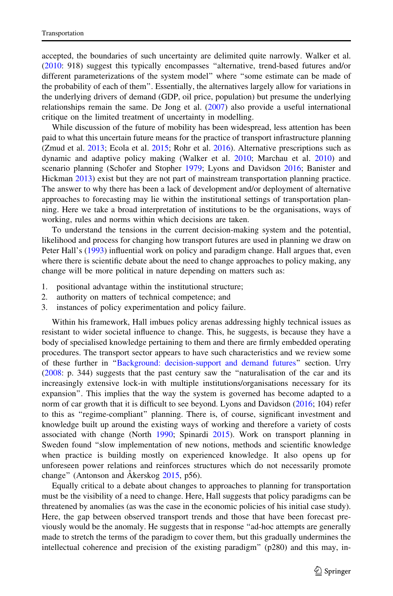accepted, the boundaries of such uncertainty are delimited quite narrowly. Walker et al. ([2010:](#page-17-0) 918) suggest this typically encompasses ''alternative, trend-based futures and/or different parameterizations of the system model'' where ''some estimate can be made of the probability of each of them''. Essentially, the alternatives largely allow for variations in the underlying drivers of demand (GDP, oil price, population) but presume the underlying relationships remain the same. De Jong et al. ([2007](#page-15-0)) also provide a useful international critique on the limited treatment of uncertainty in modelling.

While discussion of the future of mobility has been widespread, less attention has been paid to what this uncertain future means for the practice of transport infrastructure planning (Zmud et al. [2013;](#page-17-0) Ecola et al. [2015;](#page-16-0) Rohr et al. [2016\)](#page-16-0). Alternative prescriptions such as dynamic and adaptive policy making (Walker et al. [2010](#page-17-0); Marchau et al. [2010](#page-16-0)) and scenario planning (Schofer and Stopher [1979;](#page-17-0) Lyons and Davidson [2016;](#page-16-0) Banister and Hickman [2013](#page-15-0)) exist but they are not part of mainstream transportation planning practice. The answer to why there has been a lack of development and/or deployment of alternative approaches to forecasting may lie within the institutional settings of transportation planning. Here we take a broad interpretation of institutions to be the organisations, ways of working, rules and norms within which decisions are taken.

To understand the tensions in the current decision-making system and the potential, likelihood and process for changing how transport futures are used in planning we draw on Peter Hall's ([1993\)](#page-16-0) influential work on policy and paradigm change. Hall argues that, even where there is scientific debate about the need to change approaches to policy making, any change will be more political in nature depending on matters such as:

- 1. positional advantage within the institutional structure;
- 2. authority on matters of technical competence; and
- 3. instances of policy experimentation and policy failure.

Within his framework, Hall imbues policy arenas addressing highly technical issues as resistant to wider societal influence to change. This, he suggests, is because they have a body of specialised knowledge pertaining to them and there are firmly embedded operating procedures. The transport sector appears to have such characteristics and we review some of these further in ''[Background: decision-support and demand futures](#page-4-0)'' section. Urry ([2008:](#page-17-0) p. 344) suggests that the past century saw the ''naturalisation of the car and its increasingly extensive lock-in with multiple institutions/organisations necessary for its expansion''. This implies that the way the system is governed has become adapted to a norm of car growth that it is difficult to see beyond. Lyons and Davidson ([2016;](#page-16-0) 104) refer to this as ''regime-compliant'' planning. There is, of course, significant investment and knowledge built up around the existing ways of working and therefore a variety of costs associated with change (North [1990](#page-16-0); Spinardi [2015](#page-17-0)). Work on transport planning in Sweden found ''slow implementation of new notions, methods and scientific knowledge when practice is building mostly on experienced knowledge. It also opens up for unforeseen power relations and reinforces structures which do not necessarily promote change" (Antonson and Åkerskog [2015,](#page-15-0) p56).

Equally critical to a debate about changes to approaches to planning for transportation must be the visibility of a need to change. Here, Hall suggests that policy paradigms can be threatened by anomalies (as was the case in the economic policies of his initial case study). Here, the gap between observed transport trends and those that have been forecast previously would be the anomaly. He suggests that in response ''ad-hoc attempts are generally made to stretch the terms of the paradigm to cover them, but this gradually undermines the intellectual coherence and precision of the existing paradigm'' (p280) and this may, in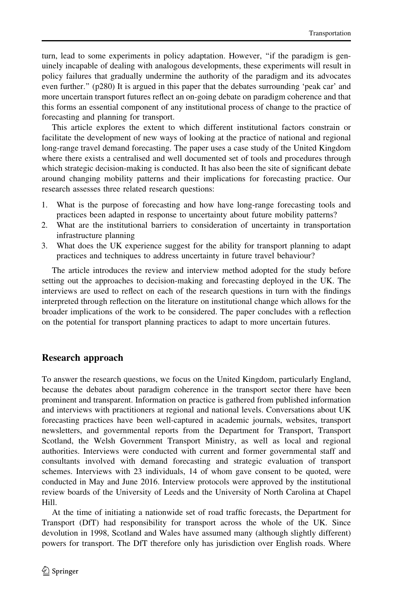turn, lead to some experiments in policy adaptation. However, "if the paradigm is genuinely incapable of dealing with analogous developments, these experiments will result in policy failures that gradually undermine the authority of the paradigm and its advocates even further.'' (p280) It is argued in this paper that the debates surrounding 'peak car' and more uncertain transport futures reflect an on-going debate on paradigm coherence and that this forms an essential component of any institutional process of change to the practice of forecasting and planning for transport.

This article explores the extent to which different institutional factors constrain or facilitate the development of new ways of looking at the practice of national and regional long-range travel demand forecasting. The paper uses a case study of the United Kingdom where there exists a centralised and well documented set of tools and procedures through which strategic decision-making is conducted. It has also been the site of significant debate around changing mobility patterns and their implications for forecasting practice. Our research assesses three related research questions:

- 1. What is the purpose of forecasting and how have long-range forecasting tools and practices been adapted in response to uncertainty about future mobility patterns?
- 2. What are the institutional barriers to consideration of uncertainty in transportation infrastructure planning
- 3. What does the UK experience suggest for the ability for transport planning to adapt practices and techniques to address uncertainty in future travel behaviour?

The article introduces the review and interview method adopted for the study before setting out the approaches to decision-making and forecasting deployed in the UK. The interviews are used to reflect on each of the research questions in turn with the findings interpreted through reflection on the literature on institutional change which allows for the broader implications of the work to be considered. The paper concludes with a reflection on the potential for transport planning practices to adapt to more uncertain futures.

## Research approach

To answer the research questions, we focus on the United Kingdom, particularly England, because the debates about paradigm coherence in the transport sector there have been prominent and transparent. Information on practice is gathered from published information and interviews with practitioners at regional and national levels. Conversations about UK forecasting practices have been well-captured in academic journals, websites, transport newsletters, and governmental reports from the Department for Transport, Transport Scotland, the Welsh Government Transport Ministry, as well as local and regional authorities. Interviews were conducted with current and former governmental staff and consultants involved with demand forecasting and strategic evaluation of transport schemes. Interviews with 23 individuals, 14 of whom gave consent to be quoted, were conducted in May and June 2016. Interview protocols were approved by the institutional review boards of the University of Leeds and the University of North Carolina at Chapel Hill.

At the time of initiating a nationwide set of road traffic forecasts, the Department for Transport (DfT) had responsibility for transport across the whole of the UK. Since devolution in 1998, Scotland and Wales have assumed many (although slightly different) powers for transport. The DfT therefore only has jurisdiction over English roads. Where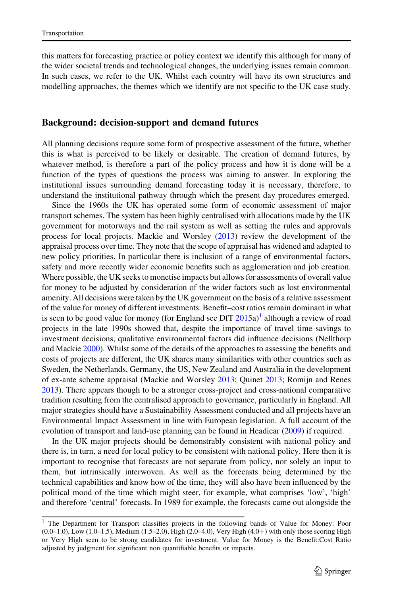<span id="page-4-0"></span>this matters for forecasting practice or policy context we identify this although for many of the wider societal trends and technological changes, the underlying issues remain common. In such cases, we refer to the UK. Whilst each country will have its own structures and modelling approaches, the themes which we identify are not specific to the UK case study.

### Background: decision-support and demand futures

All planning decisions require some form of prospective assessment of the future, whether this is what is perceived to be likely or desirable. The creation of demand futures, by whatever method, is therefore a part of the policy process and how it is done will be a function of the types of questions the process was aiming to answer. In exploring the institutional issues surrounding demand forecasting today it is necessary, therefore, to understand the institutional pathway through which the present day procedures emerged.

Since the 1960s the UK has operated some form of economic assessment of major transport schemes. The system has been highly centralised with allocations made by the UK government for motorways and the rail system as well as setting the rules and approvals process for local projects. Mackie and Worsley ([2013\)](#page-16-0) review the development of the appraisal process over time. They note that the scope of appraisal has widened and adapted to new policy priorities. In particular there is inclusion of a range of environmental factors, safety and more recently wider economic benefits such as agglomeration and job creation. Where possible, the UK seeks to monetise impacts but allows for assessments of overall value for money to be adjusted by consideration of the wider factors such as lost environmental amenity. All decisions were taken by the UK government on the basis of a relative assessment of the value for money of different investments. Benefit–cost ratios remain dominant in what is seen to be good value for money (for England see DfT  $2015a$  $2015a$ )<sup>1</sup> although a review of road projects in the late 1990s showed that, despite the importance of travel time savings to investment decisions, qualitative environmental factors did influence decisions (Nellthorp and Mackie [2000\)](#page-16-0). Whilst some of the details of the approaches to assessing the benefits and costs of projects are different, the UK shares many similarities with other countries such as Sweden, the Netherlands, Germany, the US, New Zealand and Australia in the development of ex-ante scheme appraisal (Mackie and Worsley [2013](#page-16-0); Quinet [2013;](#page-16-0) Romijn and Renes [2013\)](#page-16-0). There appears though to be a stronger cross-project and cross-national comparative tradition resulting from the centralised approach to governance, particularly in England. All major strategies should have a Sustainability Assessment conducted and all projects have an Environmental Impact Assessment in line with European legislation. A full account of the evolution of transport and land-use planning can be found in Headicar [\(2009](#page-16-0)) if required.

In the UK major projects should be demonstrably consistent with national policy and there is, in turn, a need for local policy to be consistent with national policy. Here then it is important to recognise that forecasts are not separate from policy, nor solely an input to them, but intrinsically interwoven. As well as the forecasts being determined by the technical capabilities and know how of the time, they will also have been influenced by the political mood of the time which might steer, for example, what comprises 'low', 'high' and therefore 'central' forecasts. In 1989 for example, the forecasts came out alongside the

<sup>&</sup>lt;sup>1</sup> The Department for Transport classifies projects in the following bands of Value for Money: Poor  $(0.0-1.0)$ , Low  $(1.0-1.5)$ , Medium  $(1.5-2.0)$ , High  $(2.0-4.0)$ , Very High  $(4.0+)$  with only those scoring High or Very High seen to be strong candidates for investment. Value for Money is the Benefit:Cost Ratio adjusted by judgment for significant non quantifiable benefits or impacts.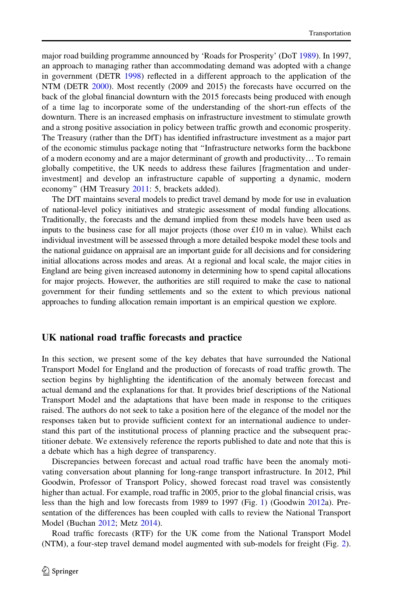major road building programme announced by 'Roads for Prosperity' (DoT [1989](#page-15-0)). In 1997, an approach to managing rather than accommodating demand was adopted with a change in government (DETR [1998\)](#page-15-0) reflected in a different approach to the application of the NTM (DETR [2000\)](#page-15-0). Most recently (2009 and 2015) the forecasts have occurred on the back of the global financial downturn with the 2015 forecasts being produced with enough of a time lag to incorporate some of the understanding of the short-run effects of the downturn. There is an increased emphasis on infrastructure investment to stimulate growth and a strong positive association in policy between traffic growth and economic prosperity. The Treasury (rather than the DfT) has identified infrastructure investment as a major part of the economic stimulus package noting that ''Infrastructure networks form the backbone of a modern economy and are a major determinant of growth and productivity… To remain globally competitive, the UK needs to address these failures [fragmentation and underinvestment] and develop an infrastructure capable of supporting a dynamic, modern economy'' (HM Treasury [2011](#page-16-0): 5, brackets added).

The DfT maintains several models to predict travel demand by mode for use in evaluation of national-level policy initiatives and strategic assessment of modal funding allocations. Traditionally, the forecasts and the demand implied from these models have been used as inputs to the business case for all major projects (those over  $\pounds 10$  m in value). Whilst each individual investment will be assessed through a more detailed bespoke model these tools and the national guidance on appraisal are an important guide for all decisions and for considering initial allocations across modes and areas. At a regional and local scale, the major cities in England are being given increased autonomy in determining how to spend capital allocations for major projects. However, the authorities are still required to make the case to national government for their funding settlements and so the extent to which previous national approaches to funding allocation remain important is an empirical question we explore.

#### UK national road traffic forecasts and practice

In this section, we present some of the key debates that have surrounded the National Transport Model for England and the production of forecasts of road traffic growth. The section begins by highlighting the identification of the anomaly between forecast and actual demand and the explanations for that. It provides brief descriptions of the National Transport Model and the adaptations that have been made in response to the critiques raised. The authors do not seek to take a position here of the elegance of the model nor the responses taken but to provide sufficient context for an international audience to understand this part of the institutional process of planning practice and the subsequent practitioner debate. We extensively reference the reports published to date and note that this is a debate which has a high degree of transparency.

Discrepancies between forecast and actual road traffic have been the anomaly motivating conversation about planning for long-range transport infrastructure. In 2012, Phil Goodwin, Professor of Transport Policy, showed forecast road travel was consistently higher than actual. For example, road traffic in 2005, prior to the global financial crisis, was less than the high and low forecasts from 1989 to 1997 (Fig. [1](#page-6-0)) (Goodwin [2012a](#page-16-0)). Presentation of the differences has been coupled with calls to review the National Transport Model (Buchan [2012;](#page-15-0) Metz [2014](#page-16-0)).

Road traffic forecasts (RTF) for the UK come from the National Transport Model (NTM), a four-step travel demand model augmented with sub-models for freight (Fig. [2](#page-6-0)).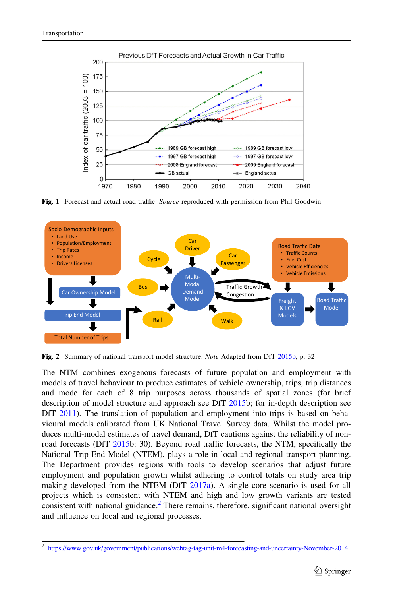<span id="page-6-0"></span>

Fig. 1 Forecast and actual road traffic. Source reproduced with permission from Phil Goodwin



Fig. 2 Summary of national transport model structure. Note Adapted from DfT [2015b,](#page-15-0) p. 32

The NTM combines exogenous forecasts of future population and employment with models of travel behaviour to produce estimates of vehicle ownership, trips, trip distances and mode for each of 8 trip purposes across thousands of spatial zones (for brief description of model structure and approach see DfT [2015](#page-15-0)b; for in-depth description see DfT [2011](#page-15-0)). The translation of population and employment into trips is based on behavioural models calibrated from UK National Travel Survey data. Whilst the model produces multi-modal estimates of travel demand, DfT cautions against the reliability of nonroad forecasts (DfT [2015](#page-15-0)b: 30). Beyond road traffic forecasts, the NTM, specifically the National Trip End Model (NTEM), plays a role in local and regional transport planning. The Department provides regions with tools to develop scenarios that adjust future employment and population growth whilst adhering to control totals on study area trip making developed from the NTEM (DfT  $2017a$ ). A single core scenario is used for all projects which is consistent with NTEM and high and low growth variants are tested consistent with national guidance.<sup>2</sup> There remains, therefore, significant national oversight and influence on local and regional processes.

<sup>2</sup> <https://www.gov.uk/government/publications/webtag-tag-unit-m4-forecasting-and-uncertainty-November-2014>.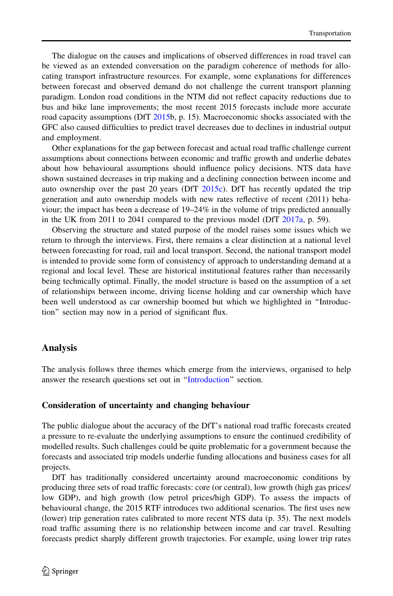The dialogue on the causes and implications of observed differences in road travel can be viewed as an extended conversation on the paradigm coherence of methods for allocating transport infrastructure resources. For example, some explanations for differences between forecast and observed demand do not challenge the current transport planning paradigm. London road conditions in the NTM did not reflect capacity reductions due to bus and bike lane improvements; the most recent 2015 forecasts include more accurate road capacity assumptions (DfT [2015](#page-15-0)b, p. 15). Macroeconomic shocks associated with the GFC also caused difficulties to predict travel decreases due to declines in industrial output and employment.

Other explanations for the gap between forecast and actual road traffic challenge current assumptions about connections between economic and traffic growth and underlie debates about how behavioural assumptions should influence policy decisions. NTS data have shown sustained decreases in trip making and a declining connection between income and auto ownership over the past 20 years (DfT [2015c](#page-15-0)). DfT has recently updated the trip generation and auto ownership models with new rates reflective of recent (2011) behaviour; the impact has been a decrease of 19–24% in the volume of trips predicted annually in the UK from 2011 to 2041 compared to the previous model (DfT  $2017a$ , p. 59).

Observing the structure and stated purpose of the model raises some issues which we return to through the interviews. First, there remains a clear distinction at a national level between forecasting for road, rail and local transport. Second, the national transport model is intended to provide some form of consistency of approach to understanding demand at a regional and local level. These are historical institutional features rather than necessarily being technically optimal. Finally, the model structure is based on the assumption of a set of relationships between income, driving license holding and car ownership which have been well understood as car ownership boomed but which we highlighted in ''Introduction'' section may now in a period of significant flux.

### Analysis

The analysis follows three themes which emerge from the interviews, organised to help answer the research questions set out in ''[Introduction'](#page-1-0)' section.

#### Consideration of uncertainty and changing behaviour

The public dialogue about the accuracy of the DfT's national road traffic forecasts created a pressure to re-evaluate the underlying assumptions to ensure the continued credibility of modelled results. Such challenges could be quite problematic for a government because the forecasts and associated trip models underlie funding allocations and business cases for all projects.

DfT has traditionally considered uncertainty around macroeconomic conditions by producing three sets of road traffic forecasts: core (or central), low growth (high gas prices/ low GDP), and high growth (low petrol prices/high GDP). To assess the impacts of behavioural change, the 2015 RTF introduces two additional scenarios. The first uses new (lower) trip generation rates calibrated to more recent NTS data (p. 35). The next models road traffic assuming there is no relationship between income and car travel. Resulting forecasts predict sharply different growth trajectories. For example, using lower trip rates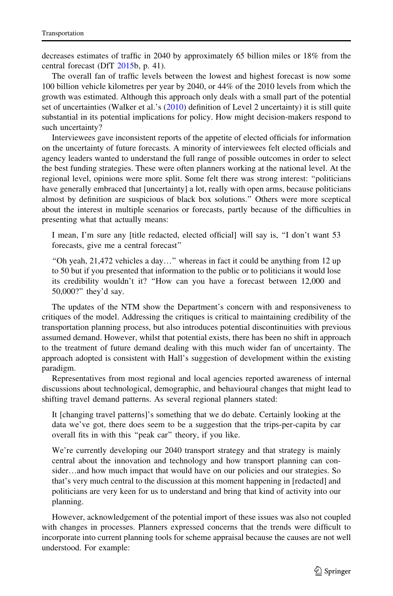decreases estimates of traffic in 2040 by approximately 65 billion miles or 18% from the central forecast (DfT [2015](#page-15-0)b, p. 41).

The overall fan of traffic levels between the lowest and highest forecast is now some 100 billion vehicle kilometres per year by 2040, or 44% of the 2010 levels from which the growth was estimated. Although this approach only deals with a small part of the potential set of uncertainties (Walker et al.'s [\(2010](#page-17-0)) definition of Level 2 uncertainty) it is still quite substantial in its potential implications for policy. How might decision-makers respond to such uncertainty?

Interviewees gave inconsistent reports of the appetite of elected officials for information on the uncertainty of future forecasts. A minority of interviewees felt elected officials and agency leaders wanted to understand the full range of possible outcomes in order to select the best funding strategies. These were often planners working at the national level. At the regional level, opinions were more split. Some felt there was strong interest: ''politicians have generally embraced that [uncertainty] a lot, really with open arms, because politicians almost by definition are suspicious of black box solutions.'' Others were more sceptical about the interest in multiple scenarios or forecasts, partly because of the difficulties in presenting what that actually means:

I mean, I'm sure any [title redacted, elected official] will say is, ''I don't want 53 forecasts, give me a central forecast''

''Oh yeah, 21,472 vehicles a day…'' whereas in fact it could be anything from 12 up to 50 but if you presented that information to the public or to politicians it would lose its credibility wouldn't it? ''How can you have a forecast between 12,000 and 50,000?'' they'd say.

The updates of the NTM show the Department's concern with and responsiveness to critiques of the model. Addressing the critiques is critical to maintaining credibility of the transportation planning process, but also introduces potential discontinuities with previous assumed demand. However, whilst that potential exists, there has been no shift in approach to the treatment of future demand dealing with this much wider fan of uncertainty. The approach adopted is consistent with Hall's suggestion of development within the existing paradigm.

Representatives from most regional and local agencies reported awareness of internal discussions about technological, demographic, and behavioural changes that might lead to shifting travel demand patterns. As several regional planners stated:

It [changing travel patterns]'s something that we do debate. Certainly looking at the data we've got, there does seem to be a suggestion that the trips-per-capita by car overall fits in with this ''peak car'' theory, if you like.

We're currently developing our 2040 transport strategy and that strategy is mainly central about the innovation and technology and how transport planning can consider...and how much impact that would have on our policies and our strategies. So that's very much central to the discussion at this moment happening in [redacted] and politicians are very keen for us to understand and bring that kind of activity into our planning.

However, acknowledgement of the potential import of these issues was also not coupled with changes in processes. Planners expressed concerns that the trends were difficult to incorporate into current planning tools for scheme appraisal because the causes are not well understood. For example: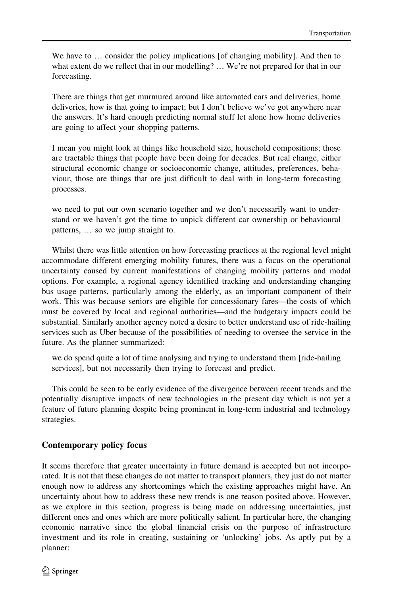We have to  $\ldots$  consider the policy implications [of changing mobility]. And then to what extent do we reflect that in our modelling? ... We're not prepared for that in our forecasting.

There are things that get murmured around like automated cars and deliveries, home deliveries, how is that going to impact; but I don't believe we've got anywhere near the answers. It's hard enough predicting normal stuff let alone how home deliveries are going to affect your shopping patterns.

I mean you might look at things like household size, household compositions; those are tractable things that people have been doing for decades. But real change, either structural economic change or socioeconomic change, attitudes, preferences, behaviour, those are things that are just difficult to deal with in long-term forecasting processes.

we need to put our own scenario together and we don't necessarily want to understand or we haven't got the time to unpick different car ownership or behavioural patterns, … so we jump straight to.

Whilst there was little attention on how forecasting practices at the regional level might accommodate different emerging mobility futures, there was a focus on the operational uncertainty caused by current manifestations of changing mobility patterns and modal options. For example, a regional agency identified tracking and understanding changing bus usage patterns, particularly among the elderly, as an important component of their work. This was because seniors are eligible for concessionary fares—the costs of which must be covered by local and regional authorities—and the budgetary impacts could be substantial. Similarly another agency noted a desire to better understand use of ride-hailing services such as Uber because of the possibilities of needing to oversee the service in the future. As the planner summarized:

we do spend quite a lot of time analysing and trying to understand them [ride-hailing services], but not necessarily then trying to forecast and predict.

This could be seen to be early evidence of the divergence between recent trends and the potentially disruptive impacts of new technologies in the present day which is not yet a feature of future planning despite being prominent in long-term industrial and technology strategies.

# Contemporary policy focus

It seems therefore that greater uncertainty in future demand is accepted but not incorporated. It is not that these changes do not matter to transport planners, they just do not matter enough now to address any shortcomings which the existing approaches might have. An uncertainty about how to address these new trends is one reason posited above. However, as we explore in this section, progress is being made on addressing uncertainties, just different ones and ones which are more politically salient. In particular here, the changing economic narrative since the global financial crisis on the purpose of infrastructure investment and its role in creating, sustaining or 'unlocking' jobs. As aptly put by a planner: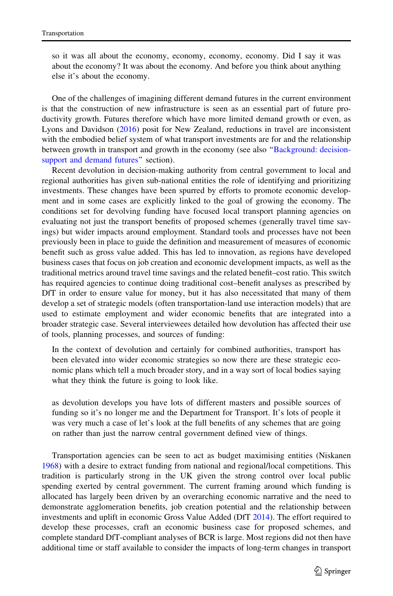so it was all about the economy, economy, economy, economy. Did I say it was about the economy? It was about the economy. And before you think about anything else it's about the economy.

One of the challenges of imagining different demand futures in the current environment is that the construction of new infrastructure is seen as an essential part of future productivity growth. Futures therefore which have more limited demand growth or even, as Lyons and Davidson ([2016\)](#page-16-0) posit for New Zealand, reductions in travel are inconsistent with the embodied belief system of what transport investments are for and the relationship between growth in transport and growth in the economy (see also "Background: decisionsupport and demand futures" section).

Recent devolution in decision-making authority from central government to local and regional authorities has given sub-national entities the role of identifying and prioritizing investments. These changes have been spurred by efforts to promote economic development and in some cases are explicitly linked to the goal of growing the economy. The conditions set for devolving funding have focused local transport planning agencies on evaluating not just the transport benefits of proposed schemes (generally travel time savings) but wider impacts around employment. Standard tools and processes have not been previously been in place to guide the definition and measurement of measures of economic benefit such as gross value added. This has led to innovation, as regions have developed business cases that focus on job creation and economic development impacts, as well as the traditional metrics around travel time savings and the related benefit–cost ratio. This switch has required agencies to continue doing traditional cost–benefit analyses as prescribed by DfT in order to ensure value for money, but it has also necessitated that many of them develop a set of strategic models (often transportation-land use interaction models) that are used to estimate employment and wider economic benefits that are integrated into a broader strategic case. Several interviewees detailed how devolution has affected their use of tools, planning processes, and sources of funding:

In the context of devolution and certainly for combined authorities, transport has been elevated into wider economic strategies so now there are these strategic economic plans which tell a much broader story, and in a way sort of local bodies saying what they think the future is going to look like.

as devolution develops you have lots of different masters and possible sources of funding so it's no longer me and the Department for Transport. It's lots of people it was very much a case of let's look at the full benefits of any schemes that are going on rather than just the narrow central government defined view of things.

Transportation agencies can be seen to act as budget maximising entities (Niskanen [1968\)](#page-16-0) with a desire to extract funding from national and regional/local competitions. This tradition is particularly strong in the UK given the strong control over local public spending exerted by central government. The current framing around which funding is allocated has largely been driven by an overarching economic narrative and the need to demonstrate agglomeration benefits, job creation potential and the relationship between investments and uplift in economic Gross Value Added (DfT [2014\)](#page-15-0). The effort required to develop these processes, craft an economic business case for proposed schemes, and complete standard DfT-compliant analyses of BCR is large. Most regions did not then have additional time or staff available to consider the impacts of long-term changes in transport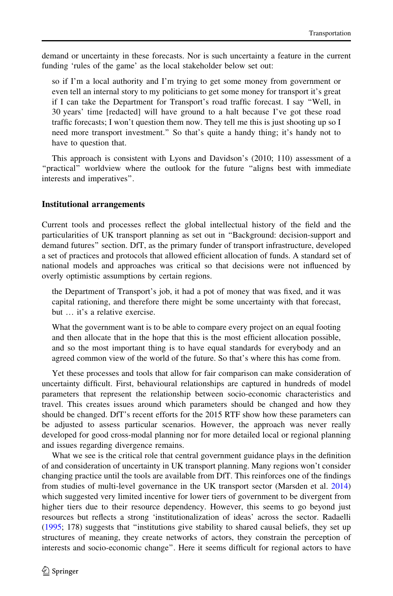demand or uncertainty in these forecasts. Nor is such uncertainty a feature in the current funding 'rules of the game' as the local stakeholder below set out:

so if I'm a local authority and I'm trying to get some money from government or even tell an internal story to my politicians to get some money for transport it's great if I can take the Department for Transport's road traffic forecast. I say ''Well, in 30 years' time [redacted] will have ground to a halt because I've got these road traffic forecasts; I won't question them now. They tell me this is just shooting up so I need more transport investment.'' So that's quite a handy thing; it's handy not to have to question that.

This approach is consistent with Lyons and Davidson's (2010; 110) assessment of a "practical" worldview where the outlook for the future "aligns best with immediate interests and imperatives''.

### Institutional arrangements

Current tools and processes reflect the global intellectual history of the field and the particularities of UK transport planning as set out in ''Background: decision-support and demand futures'' section. DfT, as the primary funder of transport infrastructure, developed a set of practices and protocols that allowed efficient allocation of funds. A standard set of national models and approaches was critical so that decisions were not influenced by overly optimistic assumptions by certain regions.

the Department of Transport's job, it had a pot of money that was fixed, and it was capital rationing, and therefore there might be some uncertainty with that forecast, but … it's a relative exercise.

What the government want is to be able to compare every project on an equal footing and then allocate that in the hope that this is the most efficient allocation possible, and so the most important thing is to have equal standards for everybody and an agreed common view of the world of the future. So that's where this has come from.

Yet these processes and tools that allow for fair comparison can make consideration of uncertainty difficult. First, behavioural relationships are captured in hundreds of model parameters that represent the relationship between socio-economic characteristics and travel. This creates issues around which parameters should be changed and how they should be changed. DfT's recent efforts for the 2015 RTF show how these parameters can be adjusted to assess particular scenarios. However, the approach was never really developed for good cross-modal planning nor for more detailed local or regional planning and issues regarding divergence remains.

What we see is the critical role that central government guidance plays in the definition of and consideration of uncertainty in UK transport planning. Many regions won't consider changing practice until the tools are available from DfT. This reinforces one of the findings from studies of multi-level governance in the UK transport sector (Marsden et al. [2014](#page-16-0)) which suggested very limited incentive for lower tiers of government to be divergent from higher tiers due to their resource dependency. However, this seems to go beyond just resources but reflects a strong 'institutionalization of ideas' across the sector. Radaelli ([1995;](#page-16-0) 178) suggests that ''institutions give stability to shared causal beliefs, they set up structures of meaning, they create networks of actors, they constrain the perception of interests and socio-economic change''. Here it seems difficult for regional actors to have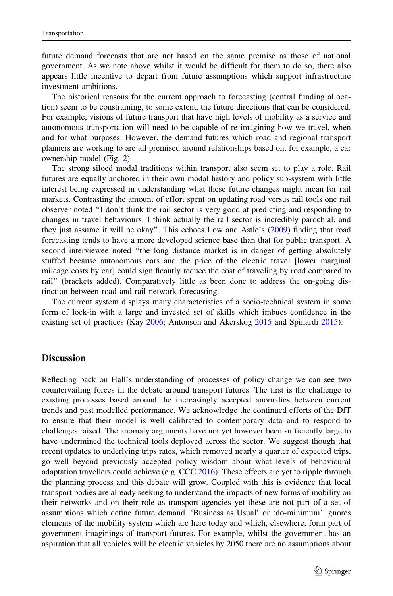future demand forecasts that are not based on the same premise as those of national government. As we note above whilst it would be difficult for them to do so, there also appears little incentive to depart from future assumptions which support infrastructure investment ambitions.

The historical reasons for the current approach to forecasting (central funding allocation) seem to be constraining, to some extent, the future directions that can be considered. For example, visions of future transport that have high levels of mobility as a service and autonomous transportation will need to be capable of re-imagining how we travel, when and for what purposes. However, the demand futures which road and regional transport planners are working to are all premised around relationships based on, for example, a car ownership model (Fig. [2](#page-6-0)).

The strong siloed modal traditions within transport also seem set to play a role. Rail futures are equally anchored in their own modal history and policy sub-system with little interest being expressed in understanding what these future changes might mean for rail markets. Contrasting the amount of effort spent on updating road versus rail tools one rail observer noted ''I don't think the rail sector is very good at predicting and responding to changes in travel behaviours. I think actually the rail sector is incredibly parochial, and they just assume it will be okay''. This echoes Low and Astle's ([2009\)](#page-16-0) finding that road forecasting tends to have a more developed science base than that for public transport. A second interviewee noted ''the long distance market is in danger of getting absolutely stuffed because autonomous cars and the price of the electric travel [lower marginal mileage costs by car] could significantly reduce the cost of traveling by road compared to rail'' (brackets added). Comparatively little as been done to address the on-going distinction between road and rail network forecasting.

The current system displays many characteristics of a socio-technical system in some form of lock-in with a large and invested set of skills which imbues confidence in the existing set of practices (Kay  $2006$ ; Antonson and Åkerskog  $2015$  and Spinardi 2015).

# **Discussion**

Reflecting back on Hall's understanding of processes of policy change we can see two countervailing forces in the debate around transport futures. The first is the challenge to existing processes based around the increasingly accepted anomalies between current trends and past modelled performance. We acknowledge the continued efforts of the DfT to ensure that their model is well calibrated to contemporary data and to respond to challenges raised. The anomaly arguments have not yet however been sufficiently large to have undermined the technical tools deployed across the sector. We suggest though that recent updates to underlying trips rates, which removed nearly a quarter of expected trips, go well beyond previously accepted policy wisdom about what levels of behavioural adaptation travellers could achieve (e.g. CCC [2016\)](#page-15-0). These effects are yet to ripple through the planning process and this debate will grow. Coupled with this is evidence that local transport bodies are already seeking to understand the impacts of new forms of mobility on their networks and on their role as transport agencies yet these are not part of a set of assumptions which define future demand. 'Business as Usual' or 'do-minimum' ignores elements of the mobility system which are here today and which, elsewhere, form part of government imaginings of transport futures. For example, whilst the government has an aspiration that all vehicles will be electric vehicles by 2050 there are no assumptions about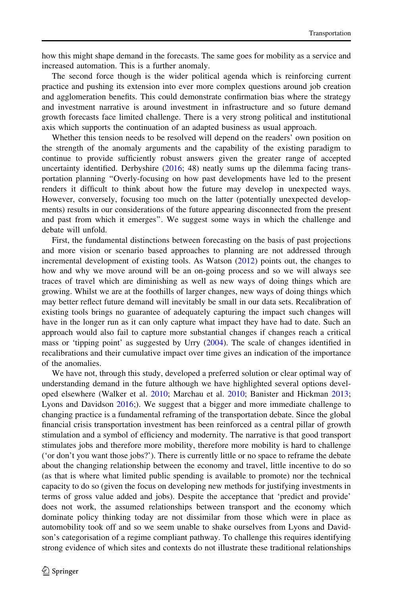how this might shape demand in the forecasts. The same goes for mobility as a service and increased automation. This is a further anomaly.

The second force though is the wider political agenda which is reinforcing current practice and pushing its extension into ever more complex questions around job creation and agglomeration benefits. This could demonstrate confirmation bias where the strategy and investment narrative is around investment in infrastructure and so future demand growth forecasts face limited challenge. There is a very strong political and institutional axis which supports the continuation of an adapted business as usual approach.

Whether this tension needs to be resolved will depend on the readers' own position on the strength of the anomaly arguments and the capability of the existing paradigm to continue to provide sufficiently robust answers given the greater range of accepted uncertainty identified. Derbyshire  $(2016; 48)$  $(2016; 48)$  $(2016; 48)$  neatly sums up the dilemma facing transportation planning ''Overly-focusing on how past developments have led to the present renders it difficult to think about how the future may develop in unexpected ways. However, conversely, focusing too much on the latter (potentially unexpected developments) results in our considerations of the future appearing disconnected from the present and past from which it emerges''. We suggest some ways in which the challenge and debate will unfold.

First, the fundamental distinctions between forecasting on the basis of past projections and more vision or scenario based approaches to planning are not addressed through incremental development of existing tools. As Watson [\(2012](#page-17-0)) points out, the changes to how and why we move around will be an on-going process and so we will always see traces of travel which are diminishing as well as new ways of doing things which are growing. Whilst we are at the foothills of larger changes, new ways of doing things which may better reflect future demand will inevitably be small in our data sets. Recalibration of existing tools brings no guarantee of adequately capturing the impact such changes will have in the longer run as it can only capture what impact they have had to date. Such an approach would also fail to capture more substantial changes if changes reach a critical mass or 'tipping point' as suggested by Urry ([2004\)](#page-17-0). The scale of changes identified in recalibrations and their cumulative impact over time gives an indication of the importance of the anomalies.

We have not, through this study, developed a preferred solution or clear optimal way of understanding demand in the future although we have highlighted several options developed elsewhere (Walker et al. [2010;](#page-17-0) Marchau et al. [2010;](#page-16-0) Banister and Hickman [2013;](#page-15-0) Lyons and Davidson [2016](#page-16-0);). We suggest that a bigger and more immediate challenge to changing practice is a fundamental reframing of the transportation debate. Since the global financial crisis transportation investment has been reinforced as a central pillar of growth stimulation and a symbol of efficiency and modernity. The narrative is that good transport stimulates jobs and therefore more mobility, therefore more mobility is hard to challenge ('or don't you want those jobs?'). There is currently little or no space to reframe the debate about the changing relationship between the economy and travel, little incentive to do so (as that is where what limited public spending is available to promote) nor the technical capacity to do so (given the focus on developing new methods for justifying investments in terms of gross value added and jobs). Despite the acceptance that 'predict and provide' does not work, the assumed relationships between transport and the economy which dominate policy thinking today are not dissimilar from those which were in place as automobility took off and so we seem unable to shake ourselves from Lyons and Davidson's categorisation of a regime compliant pathway. To challenge this requires identifying strong evidence of which sites and contexts do not illustrate these traditional relationships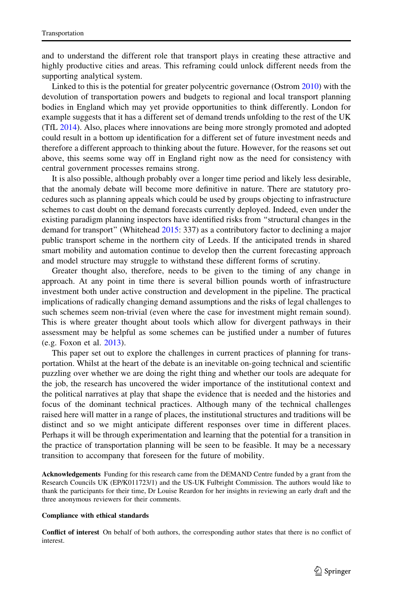and to understand the different role that transport plays in creating these attractive and highly productive cities and areas. This reframing could unlock different needs from the supporting analytical system.

Linked to this is the potential for greater polycentric governance (Ostrom [2010](#page-16-0)) with the devolution of transportation powers and budgets to regional and local transport planning bodies in England which may yet provide opportunities to think differently. London for example suggests that it has a different set of demand trends unfolding to the rest of the UK (TfL [2014](#page-17-0)). Also, places where innovations are being more strongly promoted and adopted could result in a bottom up identification for a different set of future investment needs and therefore a different approach to thinking about the future. However, for the reasons set out above, this seems some way off in England right now as the need for consistency with central government processes remains strong.

It is also possible, although probably over a longer time period and likely less desirable, that the anomaly debate will become more definitive in nature. There are statutory procedures such as planning appeals which could be used by groups objecting to infrastructure schemes to cast doubt on the demand forecasts currently deployed. Indeed, even under the existing paradigm planning inspectors have identified risks from ''structural changes in the demand for transport'' (Whitehead [2015:](#page-17-0) 337) as a contributory factor to declining a major public transport scheme in the northern city of Leeds. If the anticipated trends in shared smart mobility and automation continue to develop then the current forecasting approach and model structure may struggle to withstand these different forms of scrutiny.

Greater thought also, therefore, needs to be given to the timing of any change in approach. At any point in time there is several billion pounds worth of infrastructure investment both under active construction and development in the pipeline. The practical implications of radically changing demand assumptions and the risks of legal challenges to such schemes seem non-trivial (even where the case for investment might remain sound). This is where greater thought about tools which allow for divergent pathways in their assessment may be helpful as some schemes can be justified under a number of futures (e.g. Foxon et al. [2013](#page-16-0)).

This paper set out to explore the challenges in current practices of planning for transportation. Whilst at the heart of the debate is an inevitable on-going technical and scientific puzzling over whether we are doing the right thing and whether our tools are adequate for the job, the research has uncovered the wider importance of the institutional context and the political narratives at play that shape the evidence that is needed and the histories and focus of the dominant technical practices. Although many of the technical challenges raised here will matter in a range of places, the institutional structures and traditions will be distinct and so we might anticipate different responses over time in different places. Perhaps it will be through experimentation and learning that the potential for a transition in the practice of transportation planning will be seen to be feasible. It may be a necessary transition to accompany that foreseen for the future of mobility.

Acknowledgements Funding for this research came from the DEMAND Centre funded by a grant from the Research Councils UK (EP/K011723/1) and the US-UK Fulbright Commission. The authors would like to thank the participants for their time, Dr Louise Reardon for her insights in reviewing an early draft and the three anonymous reviewers for their comments.

#### Compliance with ethical standards

Conflict of interest On behalf of both authors, the corresponding author states that there is no conflict of interest.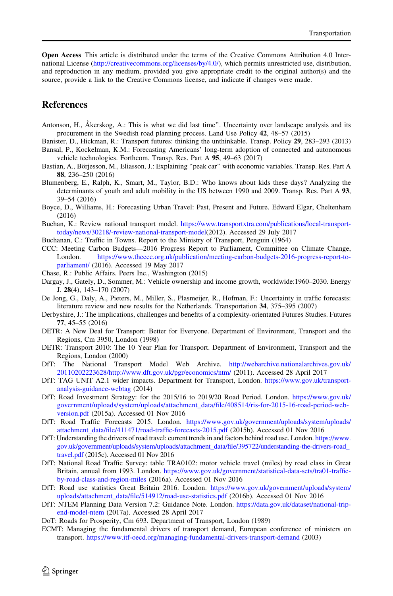<span id="page-15-0"></span>Open Access This article is distributed under the terms of the Creative Commons Attribution 4.0 International License [\(http://creativecommons.org/licenses/by/4.0/\)](http://creativecommons.org/licenses/by/4.0/), which permits unrestricted use, distribution, and reproduction in any medium, provided you give appropriate credit to the original author(s) and the source, provide a link to the Creative Commons license, and indicate if changes were made.

### References

- Antonson, H., Åkerskog, A.: This is what we did last time". Uncertainty over landscape analysis and its procurement in the Swedish road planning process. Land Use Policy 42, 48–57 (2015)
- Banister, D., Hickman, R.: Transport futures: thinking the unthinkable. Transp. Policy 29, 283–293 (2013) Bansal, P., Kockelman, K.M.: Forecasting Americans' long-term adoption of connected and autonomous vehicle technologies. Forthcom. Transp. Res. Part A 95, 49–63 (2017)
- Bastian, A., Börjesson, M., Eliasson, J.: Explaining "peak car" with economic variables. Transp. Res. Part A 88, 236–250 (2016)
- Blumenberg, E., Ralph, K., Smart, M., Taylor, B.D.: Who knows about kids these days? Analyzing the determinants of youth and adult mobility in the US between 1990 and 2009. Transp. Res. Part A 93, 39–54 (2016)
- Boyce, D., Williams, H.: Forecasting Urban Travel: Past, Present and Future. Edward Elgar, Cheltenham (2016)
- Buchan, K.: Review national transport model. [https://www.transportxtra.com/publications/local-transport](https://www.transportxtra.com/publications/local-transport-today/news/30218/-review-national-transport-model)[today/news/30218/-review-national-transport-model\(](https://www.transportxtra.com/publications/local-transport-today/news/30218/-review-national-transport-model)2012). Accessed 29 July 2017
- Buchanan, C.: Traffic in Towns. Report to the Ministry of Transport, Penguin (1964)
- CCC: Meeting Carbon Budgets—2016 Progress Report to Parliament, Committee on Climate Change, London. [https://www.theccc.org.uk/publication/meeting-carbon-budgets-2016-progress-report-to](https://www.theccc.org.uk/publication/meeting-carbon-budgets-2016-progress-report-to-parliament/)[parliament/](https://www.theccc.org.uk/publication/meeting-carbon-budgets-2016-progress-report-to-parliament/) (2016). Accessed 19 May 2017
- Chase, R.: Public Affairs. Peers Inc., Washington (2015)
- Dargay, J., Gately, D., Sommer, M.: Vehicle ownership and income growth, worldwide:1960–2030. Energy J. 28(4), 143–170 (2007)
- De Jong, G., Daly, A., Pieters, M., Miller, S., Plasmeijer, R., Hofman, F.: Uncertainty in traffic forecasts: literature review and new results for the Netherlands. Transportation 34, 375–395 (2007)
- Derbyshire, J.: The implications, challenges and benefits of a complexity-orientated Futures Studies. Futures 77, 45–55 (2016)
- DETR: A New Deal for Transport: Better for Everyone. Department of Environment, Transport and the Regions, Cm 3950, London (1998)
- DETR: Transport 2010: The 10 Year Plan for Transport. Department of Environment, Transport and the Regions, London (2000)
- DfT: The National Transport Model Web Archive. [http://webarchive.nationalarchives.gov.uk/](http://webarchive.nationalarchives.gov.uk/20110202223628/) [20110202223628/http://www.dft.gov.uk/pgr/economics/ntm/](http://www.dft.gov.uk/pgr/economics/ntm/) (2011). Accessed 28 April 2017
- DfT: TAG UNIT A2.1 wider impacts. Department for Transport, London. [https://www.gov.uk/transport](https://www.gov.uk/transport-analysis-guidance-webtag)[analysis-guidance-webtag](https://www.gov.uk/transport-analysis-guidance-webtag) (2014)
- DfT: Road Investment Strategy: for the 2015/16 to 2019/20 Road Period. London. [https://www.gov.uk/](https://www.gov.uk/government/uploads/system/uploads/attachment_data/file/408514/ris-for-2015-16-road-period-web-version.pdf) [government/uploads/system/uploads/attachment\\_data/file/408514/ris-for-2015-16-road-period-web](https://www.gov.uk/government/uploads/system/uploads/attachment_data/file/408514/ris-for-2015-16-road-period-web-version.pdf)[version.pdf](https://www.gov.uk/government/uploads/system/uploads/attachment_data/file/408514/ris-for-2015-16-road-period-web-version.pdf) (2015a). Accessed 01 Nov 2016
- DfT: Road Traffic Forecasts 2015. London. [https://www.gov.uk/government/uploads/system/uploads/](https://www.gov.uk/government/uploads/system/uploads/attachment_data/file/411471/road-traffic-forecasts-2015.pdf) [attachment\\_data/file/411471/road-traffic-forecasts-2015.pdf](https://www.gov.uk/government/uploads/system/uploads/attachment_data/file/411471/road-traffic-forecasts-2015.pdf) (2015b). Accessed 01 Nov 2016
- DfT: Understanding the drivers of road travel: current trends in and factors behind road use. London. [https://www.](https://www.gov.uk/government/uploads/system/uploads/attachment_data/file/395722/understanding-the-drivers-road_travel.pdf) [gov.uk/government/uploads/system/uploads/attachment\\_data/file/395722/understanding-the-drivers-road\\_](https://www.gov.uk/government/uploads/system/uploads/attachment_data/file/395722/understanding-the-drivers-road_travel.pdf) [travel.pdf](https://www.gov.uk/government/uploads/system/uploads/attachment_data/file/395722/understanding-the-drivers-road_travel.pdf) (2015c). Accessed 01 Nov 2016
- DfT: National Road Traffic Survey: table TRA0102: motor vehicle travel (miles) by road class in Great Britain, annual from 1993. London. [https://www.gov.uk/government/statistical-data-sets/tra01-traffic](https://www.gov.uk/government/statistical-data-sets/tra01-traffic-by-road-class-and-region-miles)[by-road-class-and-region-miles](https://www.gov.uk/government/statistical-data-sets/tra01-traffic-by-road-class-and-region-miles) (2016a). Accessed 01 Nov 2016
- DfT: Road use statistics Great Britain 2016. London. [https://www.gov.uk/government/uploads/system/](https://www.gov.uk/government/uploads/system/uploads/attachment_data/file/514912/road-use-statistics.pdf) [uploads/attachment\\_data/file/514912/road-use-statistics.pdf](https://www.gov.uk/government/uploads/system/uploads/attachment_data/file/514912/road-use-statistics.pdf) (2016b). Accessed 01 Nov 2016
- DfT: NTEM Planning Data Version 7.2: Guidance Note. London. [https://data.gov.uk/dataset/national-trip](https://data.gov.uk/dataset/national-trip-end-model-ntem)[end-model-ntem](https://data.gov.uk/dataset/national-trip-end-model-ntem) (2017a). Accessed 28 April 2017
- DoT: Roads for Prosperity, Cm 693. Department of Transport, London (1989)
- ECMT: Managing the fundamental drivers of transport demand, European conference of ministers on transport. <https://www.itf-oecd.org/managing-fundamental-drivers-transport-demand> (2003)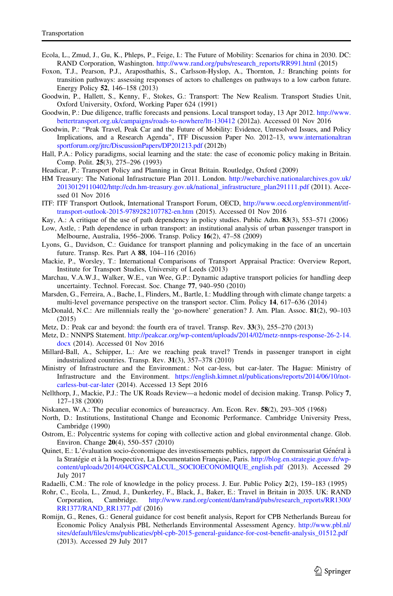- <span id="page-16-0"></span>Ecola, L., Zmud, J., Gu, K., Phleps, P., Feige, I.: The Future of Mobility: Scenarios for china in 2030. DC: RAND Corporation, Washington. [http://www.rand.org/pubs/research\\_reports/RR991.html](http://www.rand.org/pubs/research_reports/RR991.html) (2015)
- Foxon, T.J., Pearson, P.J., Araposthathis, S., Carlsson-Hyslop, A., Thornton, J.: Branching points for transition pathways: assessing responses of actors to challenges on pathways to a low carbon future. Energy Policy 52, 146–158 (2013)
- Goodwin, P., Hallett, S., Kenny, F., Stokes, G.: Transport: The New Realism. Transport Studies Unit, Oxford University, Oxford, Working Paper 624 (1991)
- Goodwin, P.: Due diligence, traffic forecasts and pensions. Local transport today, 13 Apr 2012. [http://www.](http://www.bettertransport.org.uk/campaigns/roads-to-nowhere/ltt-130412) [bettertransport.org.uk/campaigns/roads-to-nowhere/ltt-130412](http://www.bettertransport.org.uk/campaigns/roads-to-nowhere/ltt-130412) (2012a). Accessed 01 Nov 2016
- Goodwin, P.: ''Peak Travel, Peak Car and the Future of Mobility: Evidence, Unresolved Issues, and Policy Implications, and a Research Agenda'', ITF Discussion Paper No. 2012–13, [www.internationaltran](http://www.internationaltransportforum.org/jtrc/DiscussionPapers/DP201213.pdf) [sportforum.org/jtrc/DiscussionPapers/DP201213.pdf](http://www.internationaltransportforum.org/jtrc/DiscussionPapers/DP201213.pdf) (2012b)
- Hall, P.A.: Policy paradigms, social learning and the state: the case of economic policy making in Britain. Comp. Polit. 25(3), 275–296 (1993)
- Headicar, P.: Transport Policy and Planning in Great Britain. Routledge, Oxford (2009)
- HM Treasury: The National Infrastructure Plan 2011. London. [http://webarchive.nationalarchives.gov.uk/](http://webarchive.nationalarchives.gov.uk/20130129110402/) [20130129110402/http://cdn.hm-treasury.gov.uk/national\\_infrastructure\\_plan291111.pdf](http://cdn.hm-treasury.gov.uk/national_infrastructure_plan291111.pdf) (2011). Accessed 01 Nov 2016
- ITF: ITF Transport Outlook, International Transport Forum, OECD, [http://www.oecd.org/environment/itf](http://www.oecd.org/environment/itf-transport-outlook-2015-9789282107782-en.htm)[transport-outlook-2015-9789282107782-en.htm](http://www.oecd.org/environment/itf-transport-outlook-2015-9789282107782-en.htm) (2015). Accessed 01 Nov 2016
- Kay, A.: A critique of the use of path dependency in policy studies. Public Adm. 83(3), 553–571 (2006)
- Low, Astle, : Path dependence in urban transport: an institutional analysis of urban passenger transport in Melbourne, Australia, 1956–2006. Transp. Policy 16(2), 47–58 (2009)
- Lyons, G., Davidson, C.: Guidance for transport planning and policymaking in the face of an uncertain future. Transp. Res. Part A 88, 104–116 (2016)
- Mackie, P., Worsley, T.: International Comparisons of Transport Appraisal Practice: Overview Report, Institute for Transport Studies, University of Leeds (2013)
- Marchau, V.A.W.J., Walker, W.E., van Wee, G.P.: Dynamic adaptive transport policies for handling deep uncertainty. Technol. Forecast. Soc. Change 77, 940–950 (2010)
- Marsden, G., Ferreira, A., Bache, I., Flinders, M., Bartle, I.: Muddling through with climate change targets: a multi-level governance perspective on the transport sector. Clim. Policy 14, 617–636 (2014)
- McDonald, N.C.: Are millennials really the 'go-nowhere' generation? J. Am. Plan. Assoc. 81(2), 90–103 (2015)
- Metz, D.: Peak car and beyond: the fourth era of travel. Transp. Rev. 33(3), 255–270 (2013)
- Metz, D.: NNNPS Statement. [http://peakcar.org/wp-content/uploads/2014/02/metz-nnnps-response-26-2-14.](http://peakcar.org/wp-content/uploads/2014/02/metz-nnnps-response-26-2-14.docx) [docx](http://peakcar.org/wp-content/uploads/2014/02/metz-nnnps-response-26-2-14.docx) (2014). Accessed 01 Nov 2016
- Millard-Ball, A., Schipper, L.: Are we reaching peak travel? Trends in passenger transport in eight industrialized countries. Transp. Rev. 31(3), 357–378 (2010)
- Ministry of Infrastructure and the Environment.: Not car-less, but car-later. The Hague: Ministry of Infrastructure and the Environment. [https://english.kimnet.nl/publications/reports/2014/06/10/not](https://english.kimnet.nl/publications/reports/2014/06/10/not-carless-but-car-later)[carless-but-car-later](https://english.kimnet.nl/publications/reports/2014/06/10/not-carless-but-car-later) (2014). Accessed 13 Sept 2016
- Nellthorp, J., Mackie, P.J.: The UK Roads Review—a hedonic model of decision making. Transp. Policy 7, 127–138 (2000)
- Niskanen, W.A.: The peculiar economics of bureaucracy. Am. Econ. Rev. 58(2), 293–305 (1968)
- North, D.: Institutions, Institutional Change and Economic Performance. Cambridge University Press, Cambridge (1990)
- Ostrom, E.: Polycentric systems for coping with collective action and global environmental change. Glob. Environ. Change 20(4), 550–557 (2010)
- Quinet, E.: L'évaluation socio-économique des investissements publics, rapport du Commissariat Général à la Stratégie et à la Prospective, La Documentation Francaise, Paris. [http://blog.en.strategie.gouv.fr/wp](http://blog.en.strategie.gouv.fr/wp-content/uploads/2014/04/CGSPCALCUL_SOCIOECONOMIQUE_english.pdf)[content/uploads/2014/04/CGSPCALCUL\\_SOCIOECONOMIQUE\\_english.pdf](http://blog.en.strategie.gouv.fr/wp-content/uploads/2014/04/CGSPCALCUL_SOCIOECONOMIQUE_english.pdf) (2013). Accessed 29 July 2017
- Radaelli, C.M.: The role of knowledge in the policy process. J. Eur. Public Policy 2(2), 159–183 (1995)
- Rohr, C., Ecola, L., Zmud, J., Dunkerley, F., Black, J., Baker, E.: Travel in Britain in 2035. UK: RAND Corporation, Cambridge. [http://www.rand.org/content/dam/rand/pubs/research\\_reports/RR1300/](http://www.rand.org/content/dam/rand/pubs/research_reports/RR1300/RR1377/RAND_RR1377.pdf) [RR1377/RAND\\_RR1377.pdf](http://www.rand.org/content/dam/rand/pubs/research_reports/RR1300/RR1377/RAND_RR1377.pdf) (2016)
- Romijn, G., Renes, G.: General guidance for cost benefit analysis, Report for CPB Netherlands Bureau for Economic Policy Analysis PBL Netherlands Environmental Assessment Agency. [http://www.pbl.nl/](http://www.pbl.nl/sites/default/files/cms/publicaties/pbl-cpb-2015-general-guidance-for-cost-benefit-analysis_01512.pdf) [sites/default/files/cms/publicaties/pbl-cpb-2015-general-guidance-for-cost-benefit-analysis\\_01512.pdf](http://www.pbl.nl/sites/default/files/cms/publicaties/pbl-cpb-2015-general-guidance-for-cost-benefit-analysis_01512.pdf) (2013). Accessed 29 July 2017